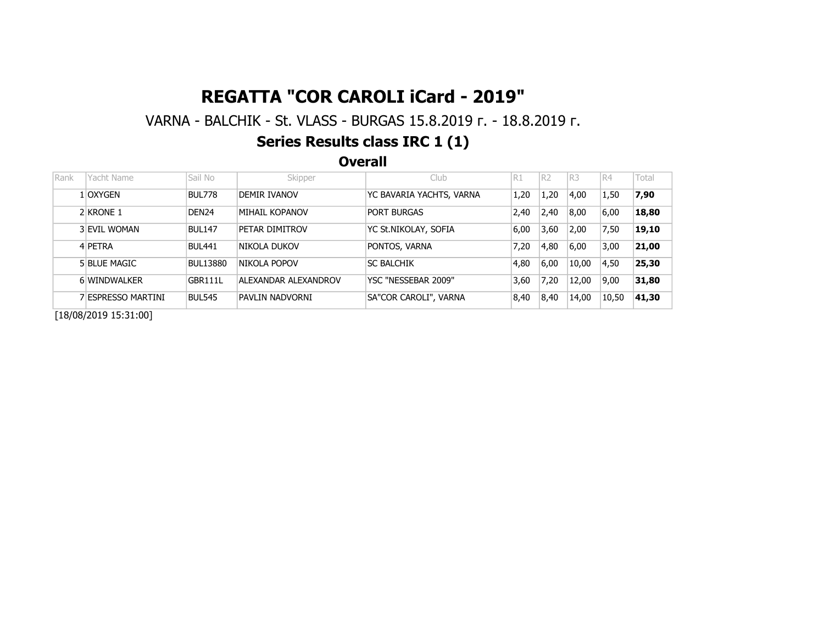# REGATTA "COR CAROLI iCard - 2019"

### VARNA - BALCHIK - St. VLASS - BURGAS 15.8.2019 г. - 18.8.2019 г.

## Series Results class IRC 1 (1)

**Overall** 

| Rank                                                                                                                                                                                                                                                                                                                                                                                  | Yacht Name                                                                      | Sail No           | Skipper              | Club                     | R1   | R <sub>2</sub> | IR3   | R4    | Total |  |  |
|---------------------------------------------------------------------------------------------------------------------------------------------------------------------------------------------------------------------------------------------------------------------------------------------------------------------------------------------------------------------------------------|---------------------------------------------------------------------------------|-------------------|----------------------|--------------------------|------|----------------|-------|-------|-------|--|--|
|                                                                                                                                                                                                                                                                                                                                                                                       | 1 OXYGEN                                                                        | BUL778            | DEMIR IVANOV         | YC BAVARIA YACHTS, VARNA | 1,20 | 1,20           | 4,00  | 1,50  | 7,90  |  |  |
|                                                                                                                                                                                                                                                                                                                                                                                       | 2 KRONE 1                                                                       | DEN <sub>24</sub> | MIHAIL KOPANOV       | <b>PORT BURGAS</b>       | 2,40 | 2,40           | 8,00  | 6,00  | 18,80 |  |  |
|                                                                                                                                                                                                                                                                                                                                                                                       | 3 EVIL WOMAN                                                                    | <b>BUL147</b>     | PETAR DIMITROV       | YC St.NIKOLAY, SOFIA     | 6,00 | 3,60           | 2,00  | 7,50  | 19,10 |  |  |
|                                                                                                                                                                                                                                                                                                                                                                                       | 4 PETRA                                                                         | <b>BUL441</b>     | NIKOLA DUKOV         | PONTOS, VARNA            | 7,20 | 4,80           | 6,00  | 3,00  | 21,00 |  |  |
|                                                                                                                                                                                                                                                                                                                                                                                       | 5 BLUE MAGIC                                                                    | <b>BUL13880</b>   | NIKOLA POPOV         | <b>SC BALCHIK</b>        | 4,80 | 6,00           | 10,00 | 4,50  | 25,30 |  |  |
|                                                                                                                                                                                                                                                                                                                                                                                       | 6 WINDWALKER                                                                    | GBR111L           | ALEXANDAR ALEXANDROV | YSC "NESSEBAR 2009"      | 3,60 | 7,20           | 12,00 | 9,00  | 31,80 |  |  |
|                                                                                                                                                                                                                                                                                                                                                                                       | SA"COR CAROLI", VARNA<br>' ESPRESSO MARTINI<br><b>BUL545</b><br>PAVLIN NADVORNI |                   |                      | 8,40                     | 8,40 | 14,00          | 10,50 | 41,30 |       |  |  |
| $\overline{a}$ , $\overline{a}$ , $\overline{a}$ , $\overline{a}$ , $\overline{a}$ , $\overline{a}$ , $\overline{a}$ , $\overline{a}$ , $\overline{a}$ , $\overline{a}$ , $\overline{a}$ , $\overline{a}$ , $\overline{a}$ , $\overline{a}$ , $\overline{a}$ , $\overline{a}$ , $\overline{a}$ , $\overline{a}$ , $\overline{a}$ , $\overline{a}$ , $\overline{a}$ , $\overline{a}$ , |                                                                                 |                   |                      |                          |      |                |       |       |       |  |  |

[18/08/2019 15:31:00]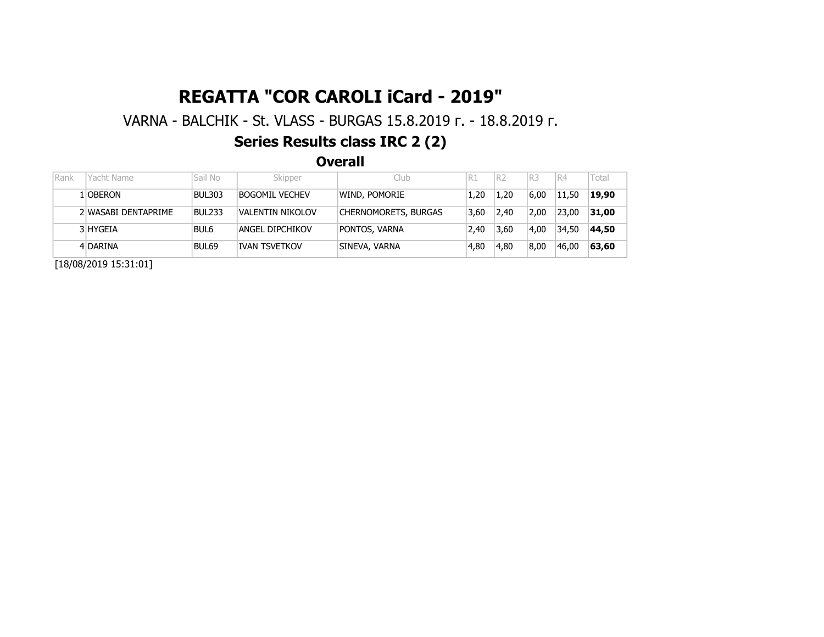# REGATTA "COR CAROLI iCard - 2019"

VARNA - BALCHIK - St. VLASS - BURGAS 15.8.2019 г. - 18.8.2019 г.

## Series Results class IRC 2 (2)

**Overall** 

| Rank | Yacht Name          | Sail No       | Skipper              | Club                 | R1   | R <sub>2</sub> | IR3  | R4    | Total |
|------|---------------------|---------------|----------------------|----------------------|------|----------------|------|-------|-------|
|      | 1 OBERON            | <b>BUL303</b> | BOGOMIL VECHEV       | WIND, POMORIE        | 1.20 | 1.20           | 6.00 | 11,50 | 19,90 |
|      | 2 WASABI DENTAPRIME | <b>BUL233</b> | VALENTIN NIKOLOV     | CHERNOMORETS, BURGAS | 3.60 | 2,40           | 2.00 | 23,00 | 31,00 |
|      | 3 HYGEIA            | BUL6          | ANGEL DIPCHIKOV      | PONTOS, VARNA        | 2.40 | 3,60           | 4.00 | 34,50 | 44,50 |
|      | 4 DARINA            | BUL69         | <b>IVAN TSVETKOV</b> | SINEVA, VARNA        | 4.80 | 4,80           | 8.00 | 46,00 | 63,60 |

[18/08/2019 15:31:01]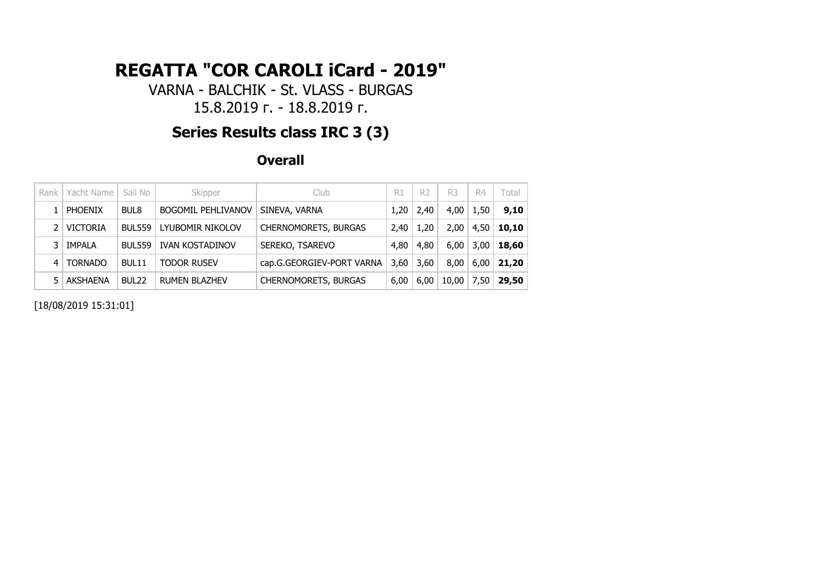# **REGATTA "COR CAROLI iCard - 2019"**

VARNA - BALCHIK - St. VLASS - BURGAS 15.8.2019 г. - 18.8.2019 г.

## **Series Results class IRC 3 (3)**

**Overall**

| Rank | Yacht Name      | Sail No           | Skipper                   | Club                        | R1   | R <sub>2</sub> | R <sub>3</sub> | R4   | Total |
|------|-----------------|-------------------|---------------------------|-----------------------------|------|----------------|----------------|------|-------|
|      | <b>PHOENIX</b>  | BUL8              | <b>BOGOMIL PEHLIVANOV</b> | SINEVA, VARNA               | 1,20 | 2,40           | 4,00           | 1,50 | 9,10  |
|      | <b>VICTORIA</b> | <b>BUL559</b>     | LYUBOMIR NIKOLOV          | <b>CHERNOMORETS, BURGAS</b> | 2,40 | 1,20           | 2,00           | 4,50 | 10,10 |
| 3    | IMPALA          | <b>BUL559</b>     | <b>IVAN KOSTADINOV</b>    | SEREKO, TSAREVO             | 4,80 | 4,80           | 6,00           | 3,00 | 18,60 |
| 4    | <b>TORNADO</b>  | BUL11             | <b>TODOR RUSEV</b>        | cap.G.GEORGIEV-PORT VARNA   | 3,60 | 3,60           | 8,00           | 6.00 | 21,20 |
|      | AKSHAENA        | BUL <sub>22</sub> | <b>RUMEN BLAZHEV</b>      | <b>CHERNOMORETS, BURGAS</b> | 6,00 | 6,00           | 10,00          | 7,50 | 29,50 |

[18/08/2019 15:31:01]